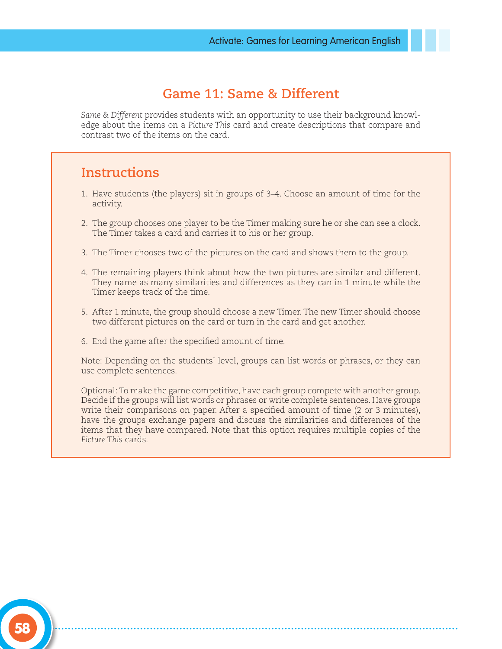## **Game 11: Same & Different**

*Same & Different* provides students with an opportunity to use their background knowledge about the items on a *Picture This* card and create descriptions that compare and contrast two of the items on the card.

### **Instructions**

- 1. Have students (the players) sit in groups of 3–4. Choose an amount of time for the activity.
- 2. The group chooses one player to be the Timer making sure he or she can see a clock. The Timer takes a card and carries it to his or her group.
- 3. The Timer chooses two of the pictures on the card and shows them to the group.
- 4. The remaining players think about how the two pictures are similar and different. They name as many similarities and differences as they can in 1 minute while the Timer keeps track of the time.
- 5. After 1 minute, the group should choose a new Timer. The new Timer should choose two different pictures on the card or turn in the card and get another.
- 6. End the game after the specified amount of time.

Note: Depending on the students' level, groups can list words or phrases, or they can use complete sentences.

Optional: To make the game competitive, have each group compete with another group. Decide if the groups will list words or phrases or write complete sentences. Have groups write their comparisons on paper. After a specified amount of time (2 or 3 minutes), have the groups exchange papers and discuss the similarities and differences of the items that they have compared. Note that this option requires multiple copies of the *Picture This* cards.